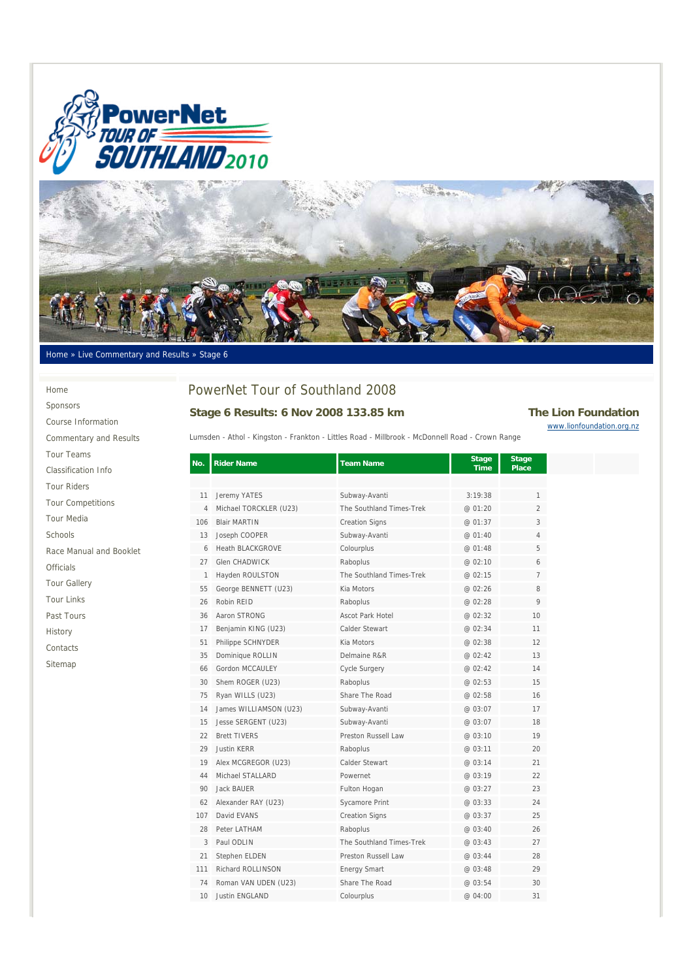



#### Home » Live Commentary and Results » Stage 6

Home Sponsors Course Information Commentary and Results Tour Teams Classification Info Tour Riders Tour Competitions Tour Media Schools Race Manual and Booklet Officials Tour Gallery Tour Links Past Tours History Contacts

Sitemap

# PowerNet Tour of Southland 2008

#### Stage 6 Results: 6 Nov 2008 133.85 km The Lion Foundation

www.lionfoundation.org.nz

| Lumsden - Athol - Kingston - Frankton - Littles Road - Millbrook - McDonnell Road - Crown Range |  |  |  |  |  |  |  |
|-------------------------------------------------------------------------------------------------|--|--|--|--|--|--|--|
|-------------------------------------------------------------------------------------------------|--|--|--|--|--|--|--|

| No. | <b>Rider Name</b>       | <b>Team Name</b>           | <b>Stage</b><br><b>Time</b> | <b>Stage</b><br><b>Place</b> |  |
|-----|-------------------------|----------------------------|-----------------------------|------------------------------|--|
|     |                         |                            |                             |                              |  |
| 11  | Jeremy YATES            | Subway-Avanti              | 3:19:38                     | 1                            |  |
| 4   | Michael TORCKLER (U23)  | The Southland Times-Trek   | @ 01:20                     | $\overline{2}$               |  |
| 106 | <b>Blair MARTIN</b>     | <b>Creation Signs</b>      | @ 01:37                     | 3                            |  |
| 13  | Joseph COOPER           | Subway-Avanti              | @ 01:40                     | 4                            |  |
| 6   | <b>Heath BLACKGROVE</b> | Colourplus                 | @ 01:48                     | 5                            |  |
| 27  | <b>Glen CHADWICK</b>    | Raboplus                   | @ 02:10                     | 6                            |  |
| 1   | Hayden ROULSTON         | The Southland Times-Trek   | @ 02:15                     | $\overline{7}$               |  |
| 55  | George BENNETT (U23)    | Kia Motors                 | @ 02:26                     | 8                            |  |
| 26  | Robin REID              | Raboplus                   | @ 02:28                     | 9                            |  |
| 36  | Aaron STRONG            | Ascot Park Hotel           | @ 02:32                     | 10                           |  |
| 17  | Benjamin KING (U23)     | Calder Stewart             | @ 02:34                     | 11                           |  |
| 51  | Philippe SCHNYDER       | Kia Motors                 | @ 02:38                     | 12                           |  |
| 35  | Dominique ROLLIN        | Delmaine R&R               | @ 02:42                     | 13                           |  |
| 66  | Gordon MCCAULEY         | Cycle Surgery              | @ 02:42                     | 14                           |  |
| 30  | Shem ROGER (U23)        | Raboplus                   | @ 02:53                     | 15                           |  |
| 75  | Ryan WILLS (U23)        | Share The Road             | @ 02:58                     | 16                           |  |
| 14  | James WILLIAMSON (U23)  | Subway-Avanti              | @ 03:07                     | 17                           |  |
| 15  | Jesse SERGENT (U23)     | Subway-Avanti              | @ 03:07                     | 18                           |  |
| 22  | <b>Brett TIVERS</b>     | <b>Preston Russell Law</b> | @ 03:10                     | 19                           |  |
| 29  | Justin KFRR             | Raboplus                   | @ 03:11                     | 20                           |  |
| 19  | Alex MCGREGOR (U23)     | Calder Stewart             | @ 03:14                     | 21                           |  |
| 44  | Michael STALLARD        | Powernet                   | @ 03:19                     | 22                           |  |
| 90  | Jack BAUER              | Fulton Hogan               | @ 03:27                     | 23                           |  |
| 62  | Alexander RAY (U23)     | Sycamore Print             | @ 03:33                     | 24                           |  |
| 107 | David FVANS             | <b>Creation Signs</b>      | @ 03:37                     | 25                           |  |
| 28  | Peter LATHAM            | Raboplus                   | @ 03:40                     | 26                           |  |
| 3   | Paul ODLIN              | The Southland Times-Trek   | @ 03:43                     | 27                           |  |
| 21  | Stephen ELDEN           | Preston Russell Law        | @ 03:44                     | 28                           |  |
| 111 | Richard ROLLINSON       | <b>Energy Smart</b>        | @ 03:48                     | 29                           |  |
| 74  | Roman VAN UDEN (U23)    | Share The Road             | @ 03:54                     | 30                           |  |
| 10  | <b>Justin ENGLAND</b>   | Colourplus                 | @ 04:00                     | 31                           |  |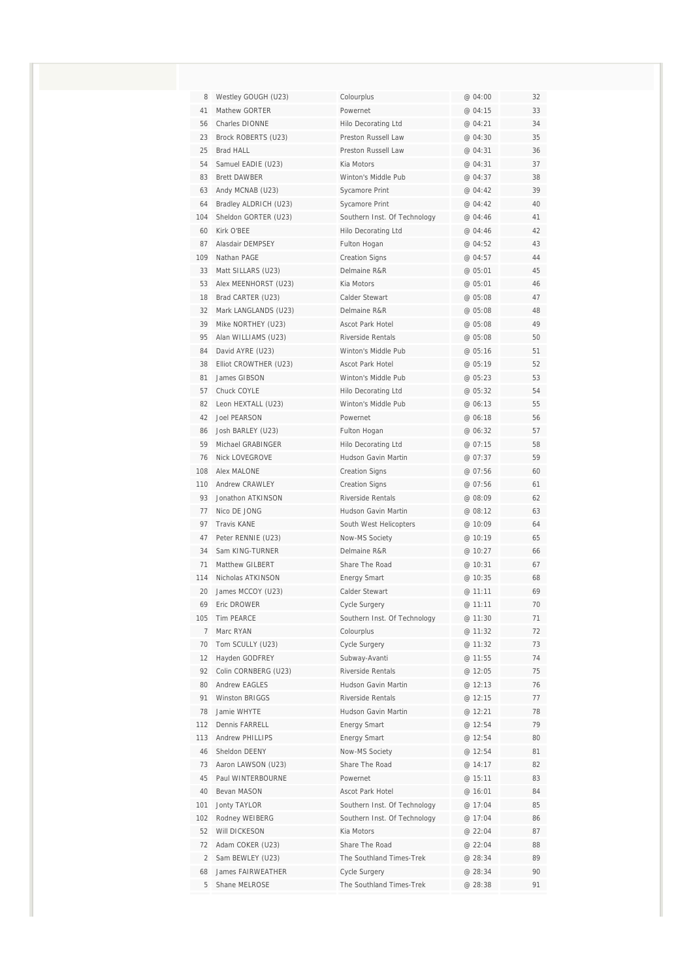| 8              | Westley GOUGH (U23)   | Colourplus                   | @ 04:00 | 32 |
|----------------|-----------------------|------------------------------|---------|----|
| 41             | Mathew GORTER         | Powernet                     | @ 04:15 | 33 |
| 56             | <b>Charles DIONNE</b> | Hilo Decorating Ltd          | @ 04:21 | 34 |
| 23             | Brock ROBERTS (U23)   | Preston Russell Law          | @ 04:30 | 35 |
| 25             | Brad HALL             | Preston Russell Law          | @ 04:31 | 36 |
| 54             | Samuel EADIE (U23)    | Kia Motors                   | @ 04:31 | 37 |
| 83             | <b>Brett DAWBER</b>   | Winton's Middle Pub          | @ 04:37 | 38 |
| 63             | Andy MCNAB (U23)      | Sycamore Print               | @ 04:42 | 39 |
| 64             | Bradley ALDRICH (U23) | Sycamore Print               | @ 04:42 | 40 |
| 104            | Sheldon GORTER (U23)  | Southern Inst. Of Technology | @ 04:46 | 41 |
| 60             | Kirk O'BEE            | Hilo Decorating Ltd          | @ 04:46 | 42 |
| 87             | Alasdair DEMPSEY      | Fulton Hogan                 | @ 04:52 | 43 |
| 109            | Nathan PAGE           | <b>Creation Signs</b>        | @ 04:57 | 44 |
| 33             | Matt SILLARS (U23)    | Delmaine R&R                 | @ 05:01 | 45 |
| 53             | Alex MEENHORST (U23)  | Kia Motors                   | @ 05:01 | 46 |
| 18             | Brad CARTER (U23)     | Calder Stewart               | @ 05:08 | 47 |
| 32             | Mark LANGLANDS (U23)  | Delmaine R&R                 | @ 05:08 | 48 |
| 39             | Mike NORTHEY (U23)    | <b>Ascot Park Hotel</b>      | @ 05:08 | 49 |
| 95             | Alan WILLIAMS (U23)   | <b>Riverside Rentals</b>     | @ 05:08 | 50 |
| 84             | David AYRE (U23)      | Winton's Middle Pub          | @ 05:16 | 51 |
| 38             | Elliot CROWTHER (U23) | Ascot Park Hotel             | @ 05:19 | 52 |
| 81             | James GIBSON          | Winton's Middle Pub          | @ 05:23 | 53 |
| 57             | Chuck COYLE           | Hilo Decorating Ltd          | @05:32  | 54 |
| 82             | Leon HEXTALL (U23)    | Winton's Middle Pub          | @ 06:13 | 55 |
| 42             | <b>Joel PEARSON</b>   | Powernet                     | @ 06:18 | 56 |
| 86             | Josh BARLEY (U23)     | Fulton Hogan                 | @ 06:32 | 57 |
| 59             | Michael GRABINGER     | <b>Hilo Decorating Ltd</b>   | @ 07:15 | 58 |
| 76             | <b>Nick LOVEGROVE</b> | Hudson Gavin Martin          | @ 07:37 | 59 |
| 108            | Alex MALONE           | <b>Creation Signs</b>        | @ 07:56 | 60 |
| 110            | Andrew CRAWLEY        | <b>Creation Signs</b>        | @ 07:56 | 61 |
| 93             | Jonathon ATKINSON     | <b>Riverside Rentals</b>     | @ 08:09 | 62 |
| 77             | Nico DE JONG          | Hudson Gavin Martin          | @ 08:12 | 63 |
| 97             | Travis KANE           | South West Helicopters       | @ 10:09 | 64 |
| 47             | Peter RENNIE (U23)    | Now-MS Society               | @ 10:19 | 65 |
| 34             | Sam KING-TURNER       | Delmaine R&R                 | @ 10:27 | 66 |
| 71             | Matthew GILBERT       | Share The Road               | @ 10:31 | 67 |
| 114            | Nicholas ATKINSON     | <b>Energy Smart</b>          | @ 10:35 | 68 |
| 20             | James MCCOY (U23)     | Calder Stewart               | @ 11:11 | 69 |
| 69             | Eric DROWER           | Cycle Surgery                | @ 11:11 | 70 |
| 105            | Tim PEARCE            | Southern Inst. Of Technology | @ 11:30 | 71 |
| $\overline{7}$ | Marc RYAN             | Colourplus                   | @ 11:32 | 72 |
| 70             | Tom SCULLY (U23)      | <b>Cycle Surgery</b>         | @ 11:32 | 73 |
| 12             | Hayden GODFREY        | Subway-Avanti                | @ 11:55 | 74 |
| 92             | Colin CORNBERG (U23)  | Riverside Rentals            | @ 12:05 | 75 |
| 80             | <b>Andrew EAGLES</b>  | Hudson Gavin Martin          | @ 12:13 | 76 |
| 91             | <b>Winston BRIGGS</b> | <b>Riverside Rentals</b>     | @ 12:15 | 77 |
| 78             | Jamie WHYTE           | Hudson Gavin Martin          | @ 12:21 | 78 |
| 112            | Dennis FARRELL        | <b>Energy Smart</b>          | @ 12:54 | 79 |
| 113            | Andrew PHILLIPS       | <b>Energy Smart</b>          | @ 12:54 | 80 |
| 46             | Sheldon DEENY         | Now-MS Society               | @ 12:54 | 81 |
| 73             | Aaron LAWSON (U23)    | Share The Road               | @ 14:17 | 82 |
| 45             | Paul WINTERBOURNE     | Powernet                     | @ 15:11 | 83 |
| 40             | Bevan MASON           | Ascot Park Hotel             | @ 16:01 | 84 |
| 101            | <b>Jonty TAYLOR</b>   | Southern Inst. Of Technology | @ 17:04 | 85 |
| 102            | Rodney WEIBERG        | Southern Inst. Of Technology | @ 17:04 | 86 |
| 52             | Will DICKESON         | Kia Motors                   | @ 22:04 | 87 |
| 72             | Adam COKER (U23)      | Share The Road               | @ 22:04 | 88 |
| $\overline{2}$ | Sam BEWLEY (U23)      | The Southland Times-Trek     | @ 28:34 | 89 |
| 68             | James FAIRWEATHER     | Cycle Surgery                | @ 28:34 | 90 |
| 5              | Shane MELROSE         | The Southland Times-Trek     | @ 28:38 | 91 |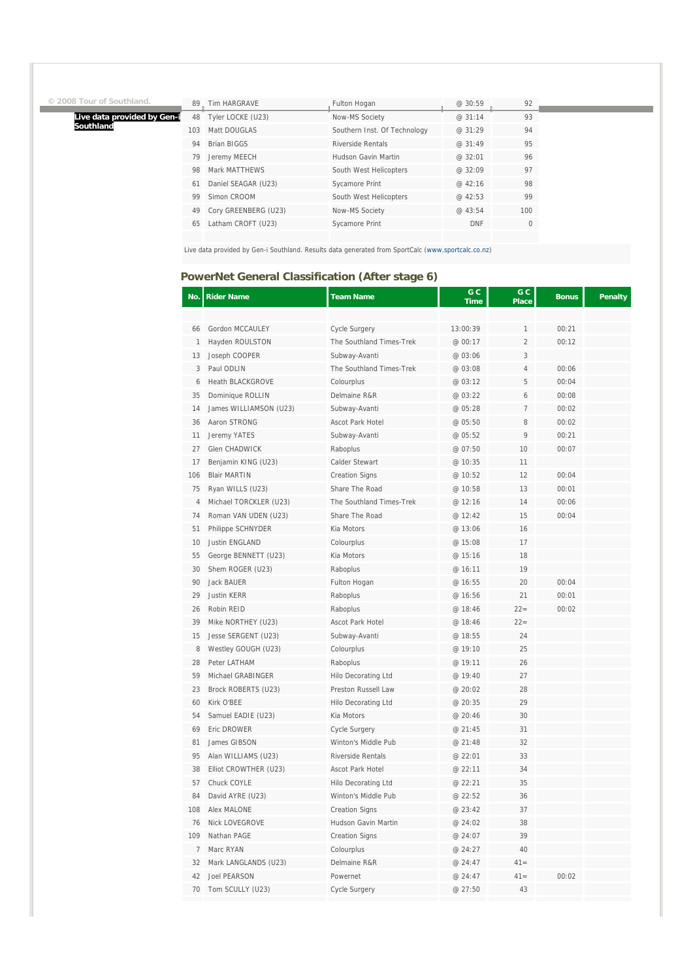|  |  | © 2008 Tour of Southland. |
|--|--|---------------------------|
|  |  |                           |

Í

**Live data provided by Gen-i Southland**

| 89  | Tim HARGRAVE         | Fulton Hogan                 | @ 30:59    | 92  |
|-----|----------------------|------------------------------|------------|-----|
| 48  | Tyler LOCKE (U23)    | Now-MS Society               | @ 31:14    | 93  |
| 103 | Matt DOUGLAS         | Southern Inst. Of Technology | @ 31:29    | 94  |
| 94  | <b>Brian BIGGS</b>   | <b>Riverside Rentals</b>     | @ 31:49    | 95  |
| 79  | Jeremy MEECH         | Hudson Gavin Martin          | @32:01     | 96  |
| 98  | Mark MATTHEWS        | South West Helicopters       | @ 32:09    | 97  |
| 61  | Daniel SEAGAR (U23)  | <b>Sycamore Print</b>        | @ 42:16    | 98  |
| 99  | Simon CROOM          | South West Helicopters       | @42:53     | 99  |
| 49  | Cory GREENBERG (U23) | Now-MS Society               | @ 43:54    | 100 |
| 65  | Latham CROFT (U23)   | Sycamore Print               | <b>DNF</b> | 0   |
|     |                      |                              |            |     |

Live data provided by Gen-i Southland. Results data generated from SportCalc (www.sportcalc.co.nz)

## **PowerNet General Classification (After stage 6)**

| No.            | <b>Rider Name</b>       | <b>Team Name</b>         | G C<br><b>Time</b> | G C<br><b>Place</b> | <b>Bonus</b> | <b>Penalty</b> |
|----------------|-------------------------|--------------------------|--------------------|---------------------|--------------|----------------|
|                |                         |                          |                    |                     |              |                |
| 66             | Gordon MCCAULEY         | <b>Cycle Surgery</b>     | 13:00:39           | 1                   | 00:21        |                |
| $\mathbf{1}$   | Hayden ROULSTON         | The Southland Times-Trek | @ 00:17            | $\overline{2}$      | 00:12        |                |
| 13             | Joseph COOPER           | Subway-Avanti            | @ 03:06            | 3                   |              |                |
| 3              | Paul ODLIN              | The Southland Times-Trek | @ 03:08            | 4                   | 00:06        |                |
| 6              | <b>Heath BLACKGROVE</b> | Colourplus               | @ 03:12            | 5                   | 00:04        |                |
| 35             | Dominique ROLLIN        | Delmaine R&R             | @ 03:22            | 6                   | 00:08        |                |
| 14             | James WILLIAMSON (U23)  | Subway-Avanti            | @ 05:28            | 7                   | 00:02        |                |
| 36             | Aaron STRONG            | Ascot Park Hotel         | @ 05:50            | 8                   | 00:02        |                |
| 11             | Jeremy YATES            | Subway-Avanti            | @ 05:52            | 9                   | 00:21        |                |
| 27             | <b>Glen CHADWICK</b>    | Raboplus                 | @ 07:50            | 10                  | 00:07        |                |
| 17             | Benjamin KING (U23)     | Calder Stewart           | @ 10:35            | 11                  |              |                |
| 106            | <b>Blair MARTIN</b>     | <b>Creation Signs</b>    | @ 10:52            | 12                  | 00:04        |                |
| 75             | Ryan WILLS (U23)        | Share The Road           | @ 10:58            | 13                  | 00:01        |                |
| $\overline{4}$ | Michael TORCKLER (U23)  | The Southland Times-Trek | @ 12:16            | 14                  | 00:06        |                |
| 74             | Roman VAN UDEN (U23)    | Share The Road           | @ 12:42            | 15                  | 00:04        |                |
| 51             | Philippe SCHNYDER       | Kia Motors               | @ 13:06            | 16                  |              |                |
| 10             | Justin ENGLAND          | Colourplus               | @ 15:08            | 17                  |              |                |
| 55             | George BENNETT (U23)    | Kia Motors               | @ 15:16            | 18                  |              |                |
| 30             | Shem ROGER (U23)        | Raboplus                 | @ 16:11            | 19                  |              |                |
| 90             | Jack BAUER              | Fulton Hogan             | @ 16:55            | 20                  | 00:04        |                |
| 29             | <b>Justin KERR</b>      | Raboplus                 | @ 16:56            | 21                  | 00:01        |                |
| 26             | Robin REID              | Raboplus                 | @ 18:46            | $22 =$              | 00:02        |                |
| 39             | Mike NORTHEY (U23)      | Ascot Park Hotel         | @ 18:46            | $22=$               |              |                |
| 15             | Jesse SERGENT (U23)     | Subway-Avanti            | @ 18:55            | 24                  |              |                |
| 8              | Westley GOUGH (U23)     | Colourplus               | @ 19:10            | 25                  |              |                |
| 28             | Peter LATHAM            | Raboplus                 | @ 19:11            | 26                  |              |                |
| 59             | Michael GRABINGER       | Hilo Decorating Ltd      | @ 19:40            | 27                  |              |                |
| 23             | Brock ROBERTS (U23)     | Preston Russell Law      | @ 20:02            | 28                  |              |                |
| 60             | Kirk O'BEE              | Hilo Decorating Ltd      | @ 20:35            | 29                  |              |                |
| 54             | Samuel EADIE (U23)      | Kia Motors               | @ 20:46            | 30                  |              |                |
| 69             | Eric DROWER             | <b>Cycle Surgery</b>     | @ 21:45            | 31                  |              |                |
| 81             | James GIBSON            | Winton's Middle Pub      | @ 21:48            | 32                  |              |                |
| 95             | Alan WILLIAMS (U23)     | <b>Riverside Rentals</b> | @ 22:01            | 33                  |              |                |
| 38             | Elliot CROWTHER (U23)   | Ascot Park Hotel         | @ 22:11            | 34                  |              |                |
| 57             | Chuck COYLE             | Hilo Decorating Ltd      | @ 22:21            | 35                  |              |                |
| 84             | David AYRE (U23)        | Winton's Middle Pub      | @ 22:52            | 36                  |              |                |
| 108            | <b>Alex MALONE</b>      | <b>Creation Signs</b>    | @ 23:42            | 37                  |              |                |
| 76             | Nick LOVEGROVE          | Hudson Gavin Martin      | @ 24:02            | 38                  |              |                |
| 109            | Nathan PAGE             | <b>Creation Signs</b>    | @ 24:07            | 39                  |              |                |
| $\overline{7}$ | Marc RYAN               | Colourplus               | @ 24:27            | 40                  |              |                |
| 32             | Mark LANGLANDS (U23)    | Delmaine R&R             | @ 24:47            | $41 =$              |              |                |
| 42             | <b>Joel PEARSON</b>     | Powernet                 | @ 24:47            | $41 =$              | 00:02        |                |
|                |                         |                          |                    |                     |              |                |
| 70             | Tom SCULLY (U23)        | <b>Cycle Surgery</b>     | @ 27:50            | 43                  |              |                |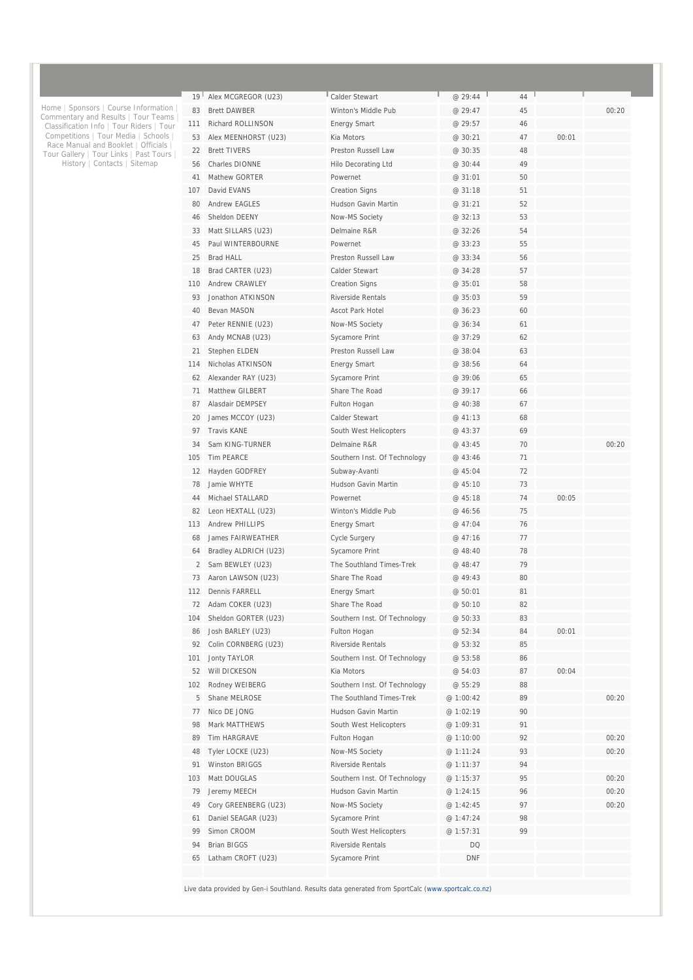| 19  | Alex MCGREGOR (U23)      | Calder Stewart                        | @ 29:44   | 44 |       |       |
|-----|--------------------------|---------------------------------------|-----------|----|-------|-------|
| 83  | <b>Brett DAWBER</b>      | Winton's Middle Pub                   | @ 29:47   | 45 |       | 00:20 |
| 111 | Richard ROLLINSON        | <b>Energy Smart</b>                   | @ 29:57   | 46 |       |       |
| 53  | Alex MEENHORST (U23)     | Kia Motors                            | @ 30:21   | 47 | 00:01 |       |
| 22  | <b>Brett TIVERS</b>      | Preston Russell Law                   | @ 30:35   | 48 |       |       |
| 56  | Charles DIONNE           | Hilo Decorating Ltd                   | @ 30:44   | 49 |       |       |
| 41  | Mathew GORTER            | Powernet                              | @ 31:01   | 50 |       |       |
| 107 | David EVANS              | <b>Creation Signs</b>                 | @ 31:18   | 51 |       |       |
| 80  | <b>Andrew EAGLES</b>     | Hudson Gavin Martin                   | @ 31:21   | 52 |       |       |
| 46  | Sheldon DEENY            | Now-MS Society                        | @ 32:13   | 53 |       |       |
| 33  | Matt SILLARS (U23)       | Delmaine R&R                          | @ 32:26   | 54 |       |       |
| 45  | Paul WINTERBOURNE        | Powernet                              | @ 33:23   | 55 |       |       |
| 25  | <b>Brad HALL</b>         | Preston Russell Law                   | @ 33:34   | 56 |       |       |
| 18  | Brad CARTER (U23)        | Calder Stewart                        | @ 34:28   | 57 |       |       |
| 110 | Andrew CRAWLEY           | <b>Creation Signs</b>                 | @ 35:01   | 58 |       |       |
| 93  | Jonathon ATKINSON        | Riverside Rentals                     | @ 35:03   | 59 |       |       |
| 40  | Bevan MASON              | <b>Ascot Park Hotel</b>               | @ 36:23   | 60 |       |       |
| 47  | Peter RENNIE (U23)       | Now-MS Society                        | @ 36:34   | 61 |       |       |
| 63  | Andy MCNAB (U23)         |                                       | @ 37:29   | 62 |       |       |
| 21  |                          | Sycamore Print<br>Preston Russell Law | @ 38:04   | 63 |       |       |
|     | Stephen ELDEN            |                                       |           |    |       |       |
| 114 | Nicholas ATKINSON        | <b>Energy Smart</b>                   | @ 38:56   | 64 |       |       |
| 62  | Alexander RAY (U23)      | Sycamore Print                        | @ 39:06   | 65 |       |       |
| 71  | Matthew GILBERT          | Share The Road                        | @ 39:17   | 66 |       |       |
| 87  | Alasdair DEMPSEY         | Fulton Hogan                          | @ 40:38   | 67 |       |       |
| 20  | James MCCOY (U23)        | Calder Stewart                        | @ 41:13   | 68 |       |       |
| 97  | <b>Travis KANE</b>       | South West Helicopters                | @ 43:37   | 69 |       |       |
| 34  | Sam KING-TURNER          | Delmaine R&R                          | @ 43:45   | 70 |       | 00:20 |
| 105 | <b>Tim PEARCE</b>        | Southern Inst. Of Technology          | @ 43:46   | 71 |       |       |
| 12  | Hayden GODFREY           | Subway-Avanti                         | @ 45:04   | 72 |       |       |
| 78  | Jamie WHYTE              | Hudson Gavin Martin                   | @ 45:10   | 73 |       |       |
| 44  | Michael STALLARD         | Powernet                              | @ 45:18   | 74 | 00:05 |       |
| 82  | Leon HEXTALL (U23)       | Winton's Middle Pub                   | @ 46:56   | 75 |       |       |
| 113 | <b>Andrew PHILLIPS</b>   | <b>Energy Smart</b>                   | @ 47:04   | 76 |       |       |
| 68  | <b>James FAIRWEATHER</b> | <b>Cycle Surgery</b>                  | @ 47:16   | 77 |       |       |
| 64  | Bradley ALDRICH (U23)    | Sycamore Print                        | @48:40    | 78 |       |       |
| 2   | Sam BEWLEY (U23)         | The Southland Times-Trek              | @ 48:47   | 79 |       |       |
| 73  | Aaron LAWSON (U23)       | Share The Road                        | @ 49:43   | 80 |       |       |
| 112 | <b>Dennis FARRELL</b>    | <b>Energy Smart</b>                   | @ 50:01   | 81 |       |       |
| 72  | Adam COKER (U23)         | Share The Road                        | @ 50:10   | 82 |       |       |
| 104 | Sheldon GORTER (U23)     | Southern Inst. Of Technology          | @ 50:33   | 83 |       |       |
| 86  | Josh BARLEY (U23)        | Fulton Hogan                          | @ 52:34   | 84 | 00:01 |       |
| 92  | Colin CORNBERG (U23)     | Riverside Rentals                     | @ 53:32   | 85 |       |       |
| 101 | Jonty TAYLOR             | Southern Inst. Of Technology          | @ 53:58   | 86 |       |       |
| 52  | Will DICKESON            | Kia Motors                            | @ 54:03   | 87 | 00:04 |       |
| 102 | Rodney WEIBERG           | Southern Inst. Of Technology          | @ 55:29   | 88 |       |       |
| 5   | Shane MELROSE            | The Southland Times-Trek              | @ 1:00:42 | 89 |       | 00:20 |
| 77  | Nico DE JONG             | Hudson Gavin Martin                   | @ 1:02:19 | 90 |       |       |
| 98  | Mark MATTHEWS            | South West Helicopters                | @ 1:09:31 | 91 |       |       |
| 89  | <b>Tim HARGRAVE</b>      | Fulton Hogan                          | @ 1:10:00 | 92 |       | 00:20 |
| 48  | Tyler LOCKE (U23)        | Now-MS Society                        |           | 93 |       | 00:20 |
|     |                          |                                       | @ 1:11:24 | 94 |       |       |
| 91  | Winston BRIGGS           | Riverside Rentals                     | @ 1:11:37 |    |       |       |
| 103 | Matt DOUGLAS             | Southern Inst. Of Technology          | @1:15:37  | 95 |       | 00:20 |
| 79  | Jeremy MEECH             | Hudson Gavin Martin                   | @ 1:24:15 | 96 |       | 00:20 |
| 49  | Cory GREENBERG (U23)     | Now-MS Society                        | @ 1:42:45 | 97 |       | 00:20 |
| 61  | Daniel SEAGAR (U23)      | Sycamore Print                        | @ 1:47:24 | 98 |       |       |
| 99  | Simon CROOM              | South West Helicopters                | @1:57:31  | 99 |       |       |
| 94  | <b>Brian BIGGS</b>       | Riverside Rentals                     | DQ        |    |       |       |
| 65  | Latham CROFT (U23)       | Sycamore Print                        | DNF       |    |       |       |
|     |                          |                                       |           |    |       |       |

Live data provided by Gen-i Southland. Results data generated from SportCalc (www.sportcalc.co.nz)

Home | Sponsors | Course Information | Commentary and Results | Tour Teams | Classification Info | Tour Riders | Tour Competitions | Tour Media | Schools | Race Manual and Booklet | Officials | Tour Gallery | Tour Links | Past Tours | History | Contacts | Sitemap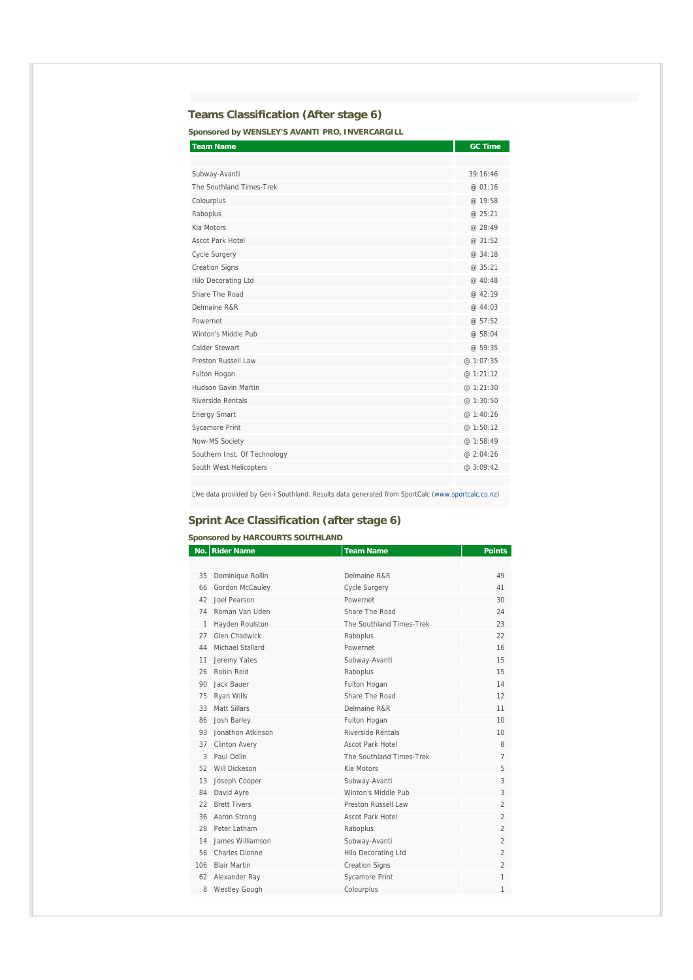## **Teams Classification (After stage 6)**

**Sponsored by WENSLEY'S AVANTI PRO, INVERCARGILL** 

| <b>Team Name</b>             | <b>GC Time</b> |
|------------------------------|----------------|
|                              |                |
| Subway-Avanti                | 39:16:46       |
| The Southland Times-Trek     | @ 01:16        |
| Colourplus                   | @ 19:58        |
| Raboplus                     | @ 25:21        |
| Kia Motors                   | @ 28:49        |
| Ascot Park Hotel             | @31:52         |
| <b>Cycle Surgery</b>         | @ 34:18        |
| <b>Creation Signs</b>        | @ 35:21        |
| Hilo Decorating Ltd          | @ 40:48        |
| Share The Road               | @ 42:19        |
| Delmaine R&R                 | @ 44:03        |
| Powernet                     | @57:52         |
| Winton's Middle Pub          | @ 58:04        |
| Calder Stewart               | @59:35         |
| Preston Russell Law          | @ 1:07:35      |
| Fulton Hogan                 | @ 1:21:12      |
| Hudson Gavin Martin          | @ 1:21:30      |
| Riverside Rentals            | @ 1:30:50      |
| <b>Energy Smart</b>          | @ 1:40:26      |
| <b>Sycamore Print</b>        | @ 1:50:12      |
| Now-MS Society               | @ 1:58:49      |
| Southern Inst. Of Technology | @ 2:04:26      |
| South West Helicopters       | @ 3:09:42      |
|                              |                |

Live data provided by Gen-i Southland. Results data generated from SportCalc (www.sportcalc.co.nz)

## **Sprint Ace Classification (after stage 6)**

#### **Sponsored by HARCOURTS SOUTHLAND**

|     | No. Rider Name       | <b>Team Name</b>         | <b>Points</b>  |
|-----|----------------------|--------------------------|----------------|
|     |                      |                          |                |
| 35  | Dominique Rollin     | Delmaine R&R             | 49             |
| 66  | Gordon McCauley      | Cycle Surgery            | 41             |
| 42  | Joel Pearson         | Powernet                 | 30             |
| 74  | Roman Van Uden       | Share The Road           | 24             |
| 1   | Hayden Roulston      | The Southland Times-Trek | 23             |
| 27  | Glen Chadwick        | Raboplus                 | 22             |
| 44  | Michael Stallard     | Powernet                 | 16             |
| 11  | Jeremy Yates         | Subway-Avanti            | 15             |
| 26  | Robin Reid           | Raboplus                 | 15             |
| 90  | Jack Bauer           | Fulton Hogan             | 14             |
| 75  | Ryan Wills           | Share The Road           | 12             |
| 33  | Matt Sillars         | Delmaine R&R             | 11             |
| 86  | Josh Barley          | Fulton Hogan             | 10             |
| 93  | Jonathon Atkinson    | Riverside Rentals        | 10             |
| 37  | <b>Clinton Avery</b> | <b>Ascot Park Hotel</b>  | 8              |
| 3   | Paul Odlin           | The Southland Times-Trek | $\overline{7}$ |
| 52  | Will Dickeson        | Kia Motors               | 5              |
| 13  | Joseph Cooper        | Subway-Avanti            | 3              |
| 84  | David Ayre           | Winton's Middle Pub      | 3              |
| 22  | <b>Brett Tivers</b>  | Preston Russell Law      | $\overline{2}$ |
| 36  | Aaron Strong         | Ascot Park Hotel         | $\overline{2}$ |
| 28  | Peter Latham         | Raboplus                 | $\overline{2}$ |
| 14  | James Williamson     | Subway-Avanti            | $\overline{2}$ |
| 56  | Charles Dionne       | Hilo Decorating Ltd      | $\overline{2}$ |
| 106 | <b>Blair Martin</b>  | <b>Creation Signs</b>    | $\overline{2}$ |
| 62  | Alexander Ray        | <b>Sycamore Print</b>    | 1              |
| 8   | <b>Westley Gough</b> | Colourplus               | 1              |
|     |                      |                          |                |